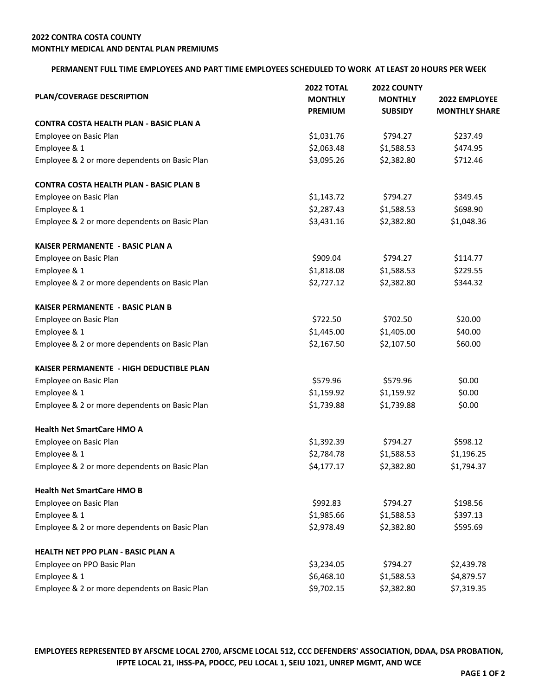## **PERMANENT FULL TIME EMPLOYEES AND PART TIME EMPLOYEES SCHEDULED TO WORK AT LEAST 20 HOURS PER WEEK**

| PLAN/COVERAGE DESCRIPTION                      | <b>2022 TOTAL</b> | 2022 COUNTY<br><b>MONTHLY</b> | <b>2022 EMPLOYEE</b> |
|------------------------------------------------|-------------------|-------------------------------|----------------------|
|                                                | <b>MONTHLY</b>    |                               |                      |
|                                                | <b>PREMIUM</b>    | <b>SUBSIDY</b>                | <b>MONTHLY SHARE</b> |
| CONTRA COSTA HEALTH PLAN - BASIC PLAN A        |                   |                               |                      |
| Employee on Basic Plan                         | \$1,031.76        | \$794.27                      | \$237.49             |
| Employee & 1                                   | \$2,063.48        | \$1,588.53                    | \$474.95             |
| Employee & 2 or more dependents on Basic Plan  | \$3,095.26        | \$2,382.80                    | \$712.46             |
| <b>CONTRA COSTA HEALTH PLAN - BASIC PLAN B</b> |                   |                               |                      |
| Employee on Basic Plan                         | \$1,143.72        | \$794.27                      | \$349.45             |
| Employee & 1                                   | \$2,287.43        | \$1,588.53                    | \$698.90             |
| Employee & 2 or more dependents on Basic Plan  | \$3,431.16        | \$2,382.80                    | \$1,048.36           |
| KAISER PERMANENTE - BASIC PLAN A               |                   |                               |                      |
| Employee on Basic Plan                         | \$909.04          | \$794.27                      | \$114.77             |
| Employee & 1                                   | \$1,818.08        | \$1,588.53                    | \$229.55             |
| Employee & 2 or more dependents on Basic Plan  | \$2,727.12        | \$2,382.80                    | \$344.32             |
| <b>KAISER PERMANENTE - BASIC PLAN B</b>        |                   |                               |                      |
| Employee on Basic Plan                         | \$722.50          | \$702.50                      | \$20.00              |
| Employee & 1                                   | \$1,445.00        | \$1,405.00                    | \$40.00              |
| Employee & 2 or more dependents on Basic Plan  | \$2,167.50        | \$2,107.50                    | \$60.00              |
| KAISER PERMANENTE - HIGH DEDUCTIBLE PLAN       |                   |                               |                      |
| Employee on Basic Plan                         | \$579.96          | \$579.96                      | \$0.00               |
| Employee & 1                                   | \$1,159.92        | \$1,159.92                    | \$0.00               |
| Employee & 2 or more dependents on Basic Plan  | \$1,739.88        | \$1,739.88                    | \$0.00               |
| <b>Health Net SmartCare HMO A</b>              |                   |                               |                      |
| Employee on Basic Plan                         | \$1,392.39        | \$794.27                      | \$598.12             |
| Employee & 1                                   | \$2,784.78        | \$1,588.53                    | \$1,196.25           |
| Employee & 2 or more dependents on Basic Plan  | \$4,177.17        | \$2,382.80                    | \$1,794.37           |
| <b>Health Net SmartCare HMO B</b>              |                   |                               |                      |
| Employee on Basic Plan                         | \$992.83          | \$794.27                      | \$198.56             |
| Employee & 1                                   | \$1,985.66        | \$1,588.53                    | \$397.13             |
| Employee & 2 or more dependents on Basic Plan  | \$2,978.49        | \$2,382.80                    | \$595.69             |
| <b>HEALTH NET PPO PLAN - BASIC PLAN A</b>      |                   |                               |                      |
| Employee on PPO Basic Plan                     | \$3,234.05        | \$794.27                      | \$2,439.78           |
| Employee & 1                                   | \$6,468.10        | \$1,588.53                    | \$4,879.57           |
| Employee & 2 or more dependents on Basic Plan  | \$9,702.15        | \$2,382.80                    | \$7,319.35           |

**EMPLOYEES REPRESENTED BY AFSCME LOCAL 2700, AFSCME LOCAL 512, CCC DEFENDERS' ASSOCIATION, DDAA, DSA PROBATION, IFPTE LOCAL 21, IHSS-PA, PDOCC, PEU LOCAL 1, SEIU 1021, UNREP MGMT, AND WCE**